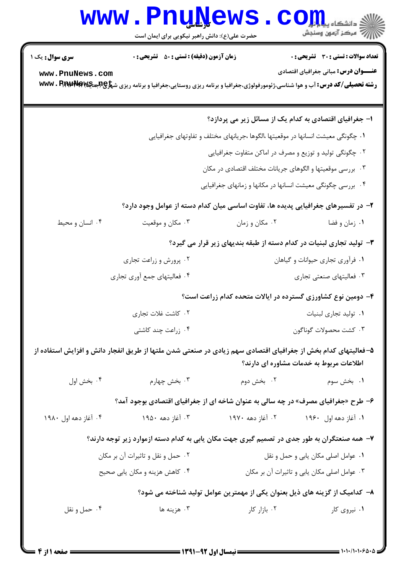## Www.PnuNews.com

حضرت علی(ع): دانش راهبر نیکویی برای ایمان است

| <b>سری سوال :</b> یک ۱<br>www.PnuNews.com                                                                                                                 | <b>زمان آزمون (دقیقه) : تستی : 50 ٪ تشریحی : 0</b> |                                                                                  | <b>تعداد سوالات : تستی : 30 ٪ تشریحی : 0</b><br><b>عنــــوان درس:</b> مبانی جغرافیای اقتصادی<br><b>رشته تحصیلی/کد درس: آ</b> ب و هوا شناسی،ژئومورفولوژی،جغرافیا و برنامه ریزی روستایی،جغرافیا و برنامه ریزی ش <del>پراچ (باجهایه WWW . Prapp Pra</del> |  |
|-----------------------------------------------------------------------------------------------------------------------------------------------------------|----------------------------------------------------|----------------------------------------------------------------------------------|--------------------------------------------------------------------------------------------------------------------------------------------------------------------------------------------------------------------------------------------------------|--|
|                                                                                                                                                           |                                                    |                                                                                  | ۱– جغرافیای اقتصادی به کدام یک از مسائل زیر می پردازد؟                                                                                                                                                                                                 |  |
|                                                                                                                                                           |                                                    | ۰۱ چگونگی معیشت انسانها در موقعیتها ،الگوها ،جریانهای مختلف و تفاوتهای جغرافیایی |                                                                                                                                                                                                                                                        |  |
|                                                                                                                                                           |                                                    |                                                                                  | ۰۲ چگونگی تولید و توزیع و مصرف در اماکن متفاوت جغرافیایی                                                                                                                                                                                               |  |
| ۰۳ بررسی موقعیتها و الگوهای جریانات مختلف اقتصادی در مکان                                                                                                 |                                                    |                                                                                  |                                                                                                                                                                                                                                                        |  |
| ۰۴ بررسی چگونگی معیشت انسانها در مکانها و زمانهای جغرافیایی                                                                                               |                                                    |                                                                                  |                                                                                                                                                                                                                                                        |  |
| ۲– در تفسیرهای جغرافیایی پدیده ها، تفاوت اساسی میان کدام دسته از عوامل وجود دارد؟                                                                         |                                                    |                                                                                  |                                                                                                                                                                                                                                                        |  |
| ۰۴ انسان و محیط                                                                                                                                           | ۰۳ مکان و موقعیت                                   | ۰۲ مکان و زمان                                                                   | ۰۱ زمان و فضا                                                                                                                                                                                                                                          |  |
| ۳- تولید تجاری لبنیات در کدام دسته از طبقه بندیهای زیر قرار می گیرد؟                                                                                      |                                                    |                                                                                  |                                                                                                                                                                                                                                                        |  |
|                                                                                                                                                           | ۰۲ پرورش و زراعت تجاری                             |                                                                                  | ۰۱ فرآوری تجاری حیوانات و گیاهان                                                                                                                                                                                                                       |  |
|                                                                                                                                                           | ۰۴ فعالیتهای جمع أوري تجاري                        |                                                                                  | ۰۳ فعالیتهای صنعتی تجاری                                                                                                                                                                                                                               |  |
| ۴– دومین نوع کشاورزی گسترده در ایالات متحده کدام زراعت است؟                                                                                               |                                                    |                                                                                  |                                                                                                                                                                                                                                                        |  |
|                                                                                                                                                           | ۰۲ کاشت غلات تجاری                                 |                                                                                  | ۰۱ تولید تجاری لبنیات                                                                                                                                                                                                                                  |  |
|                                                                                                                                                           | ۰۴ زراعت چند کاشتی                                 |                                                                                  | ۰۳ كشت محصولات گوناگون                                                                                                                                                                                                                                 |  |
| ۵– فعالیتهای کدام بخش از جغرافیای اقتصادی سهم زیادی در صنعتی شدن ملتها از طریق انفجار دانش و افزایش استفاده از<br>اطلاعات مربوط به خدمات مشاوره ای دارند؟ |                                                    |                                                                                  |                                                                                                                                                                                                                                                        |  |
| ۰۴ بخش اول                                                                                                                                                | ۰۳ بخش چهارم                                       | ۰۲ بخش دوم                                                                       | ۰۱ بخش سوم                                                                                                                                                                                                                                             |  |
|                                                                                                                                                           |                                                    |                                                                                  | ۶- طرح «جغرافیای مصرف» در چه سالی به عنوان شاخه ای از جغرافیای اقتصادی بوجود آمد؟                                                                                                                                                                      |  |
| ۰۴ آغاز دهه اول ۱۹۸۰                                                                                                                                      | ۰۳ آغاز دهه ۱۹۵۰                                   | ۲. آغاز دهه ۱۹۷۰                                                                 | ۰۱ آغاز دهه اول ۱۹۶۰                                                                                                                                                                                                                                   |  |
|                                                                                                                                                           |                                                    |                                                                                  | ۷- همه صنعتگران به طور جدی در تصمیم گیری جهت مکان یابی به کدام دسته ازموارد زیر توجه دارند؟                                                                                                                                                            |  |
|                                                                                                                                                           | ۰۲ حمل و نقل و تاثیرات آن بر مکان                  |                                                                                  | ۰۱ عوامل اصلی مکان یابی و حمل و نقل                                                                                                                                                                                                                    |  |
|                                                                                                                                                           | ۰۴ کاهش هزینه و مکان یابی صحیح                     |                                                                                  | ۰۳ عوامل اصلی مکان یابی و تاثیرات آن بر مکان                                                                                                                                                                                                           |  |
| ۸– کدامیک از گزینه های ذیل بعنوان یکی از مهمترین عوامل تولید شناخته می شود؟                                                                               |                                                    |                                                                                  |                                                                                                                                                                                                                                                        |  |
| ۰۴ حمل و نقل                                                                                                                                              | ۰۳ هزينه ها                                        | ۰۲ بازار کار                                                                     | ۰۱ نیروی کار                                                                                                                                                                                                                                           |  |
|                                                                                                                                                           |                                                    |                                                                                  |                                                                                                                                                                                                                                                        |  |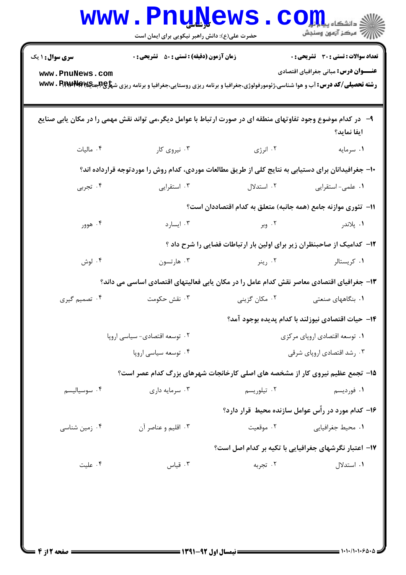|                                           | <b>WWW.PNUNEWS</b><br>حضرت علی(ع): دانش راهبر نیکویی برای ایمان است                                                                                                                                          |               | $\mathbf{CO}$ انشڪاء پيا پرائين ڪي جي ڪري ڪري جي پاڻي ڪري جي پاڻي ڪري جي پاڻي ڪري جي جي پاڻي جي جي جي جي جي جي جي جي جي جي ج |
|-------------------------------------------|--------------------------------------------------------------------------------------------------------------------------------------------------------------------------------------------------------------|---------------|------------------------------------------------------------------------------------------------------------------------------|
| <b>سری سوال : ۱ یک</b><br>www.PnuNews.com | <b>زمان آزمون (دقیقه) : تستی : 50 ٪ تشریحی : 0</b><br><b>رشته تحصیلی/کد درس: آ</b> ب و هوا شناسی،ژئومورفولوژی،جغرافیا و برنامه ریزی روستایی،جغرافیا و برنامه ریزی ش <del>پراچ (باجهایه WWW . Prapp Pra</del> |               | <b>تعداد سوالات : تستی : 30 ٪ تشریحی : 0</b><br><b>عنـــوان درس:</b> مبانی جغرافیای اقتصادی                                  |
|                                           | ۹– در کدام موضوع وجود تفاوتهای منطقه ای در صورت ارتباط با عوامل دیگر،می تواند نقش مهمی را در مکان یابی صنایع                                                                                                 |               | ايفا نمايد؟                                                                                                                  |
| ۰۴ ماليات                                 | ۰۳ نیروی کار                                                                                                                                                                                                 | ۰۲ انرژی      | ۰۱ سرمایه                                                                                                                    |
|                                           | +۱- جغرافیدانان برای دستیابی به نتایج کلی از طریق مطالعات موردی، کدام روش را موردتوجه قرارداده اند؟                                                                                                          |               |                                                                                                                              |
| ۰۴ تجربی                                  | ۰۳ استقرایی                                                                                                                                                                                                  | ۲. استدلال    | ۰۱ علمی- استقرایی                                                                                                            |
|                                           |                                                                                                                                                                                                              |               | 11–  تئوري موازنه جامع (همه جانبه) متعلق به كدام اقتصاددان است؟                                                              |
| ۰۴ هوور                                   | ۰۳ ایسارد                                                                                                                                                                                                    |               | ۰۱ پلاندر میستر است. ۲۰ وبر                                                                                                  |
|                                           |                                                                                                                                                                                                              |               | ۱۲- کدامیک از صاحبنظران زیر برای اولین بار ارتباطات فضایی را شرح داد ؟                                                       |
| ۰۴ لوش                                    | ۰۳ هارتسون                                                                                                                                                                                                   | ۰۲ رينر       | ۰۱ کریستالر                                                                                                                  |
|                                           | ۱۳- جغرافیای اقتصادی معاصر نقش کدام عامل را در مکان یابی فعالیتهای اقتصادی اساسی می داند؟                                                                                                                    |               |                                                                                                                              |
| ۰۴ تصمیم گیری                             | ۰۳ نقش حکومت                                                                                                                                                                                                 | ۰۲ مکان گزینی | ۰۱ بنگاههای صنعتی                                                                                                            |
|                                           |                                                                                                                                                                                                              |               | ۱۴–  حیات اقتصادی نیوزلند با کدام پدیده بوجود آمد؟                                                                           |
| ٢. توسعه اقتصادى- سياسى ارويا             |                                                                                                                                                                                                              |               | ٠١ توسعه اقتصادي اروپاي مركزي                                                                                                |
|                                           | ۰۴ توسعه سیاسی اروپا                                                                                                                                                                                         |               | ۰۳ رشد اقتصادی اروپای شرقی                                                                                                   |
|                                           | ۱۵- تجمع عظیم نیروی کار از مشخصه های اصلی کارخانجات شهرهای بزرگ کدام عصر است؟                                                                                                                                |               |                                                                                                                              |
| ۰۴ سوسیالیسم                              | ۰۳ سرمایه داری                                                                                                                                                                                               | ۰۲ تیلوریسم   | ۰۱ فوردیسم                                                                                                                   |
|                                           |                                                                                                                                                                                                              |               | ۱۶- کدام مورد در رأس عوامل سازنده محیط قرار دارد؟                                                                            |
| ۰۴ زمین شناسی                             | ۰۳ اقلیم و عناصر آن                                                                                                                                                                                          | ۰۲ موقعیت     | ۰۱ محیط جغرافیای <sub>ی</sub>                                                                                                |
|                                           |                                                                                                                                                                                                              |               | ۱۷– اعتبار نگرشهای جغرافیایی با تکیه بر کدام اصل است؟                                                                        |
| ۰۴ علیت                                   | ۰۳ قیاس                                                                                                                                                                                                      | ۰۲ تجربه      | ۰۱ استدلال                                                                                                                   |
|                                           |                                                                                                                                                                                                              |               |                                                                                                                              |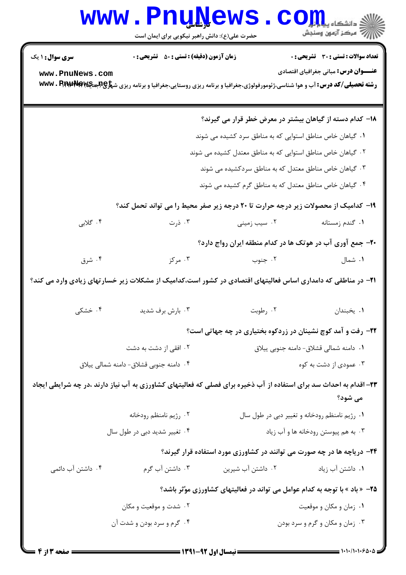## Www.PnuNews.com

حضرت علی(ع): دانش راهبر نیکویی برای ایمان است

| <b>سری سوال : ۱ یک</b>                                                       | <b>زمان آزمون (دقیقه) : تستی : 50 ٪ تشریحی : 0</b>                                                                                                  |                                                             | تعداد سوالات : تستى : 30 ٪ تشريحي : 0                                          |
|------------------------------------------------------------------------------|-----------------------------------------------------------------------------------------------------------------------------------------------------|-------------------------------------------------------------|--------------------------------------------------------------------------------|
| www.PnuNews.com                                                              |                                                                                                                                                     |                                                             | <b>عنـــوان درس:</b> مبانی جغرافیای اقتصادی                                    |
|                                                                              | <b>رشته تحصیلی/کد درس: آ</b> ب و هوا شناسی،ژئومورفولوژی،جغرافیا و برنامه ریزی روستایی،جغرافیا و برنامه ریزی ش <del>پراچ (بابه W</del> Wv . RrapRfra |                                                             |                                                                                |
|                                                                              |                                                                                                                                                     |                                                             |                                                                                |
|                                                                              |                                                                                                                                                     | ۱۸– کدام دسته از گیاهان بیشتر در معرض خطر قرار می گیرند؟    |                                                                                |
| ۰۱ گیاهان خاص مناطق استوایی که به مناطق سرد کشیده می شوند                    |                                                                                                                                                     |                                                             |                                                                                |
| ۰۲ گیاهان خاص مناطق استوایی که به مناطق معتدل کشیده می شوند                  |                                                                                                                                                     |                                                             |                                                                                |
| ۰۳ گیاهان خاص مناطق معتدل که به مناطق سردکشیده می شوند                       |                                                                                                                                                     |                                                             |                                                                                |
|                                                                              |                                                                                                                                                     | ۰۴ گیاهان خاص مناطق معتدل که به مناطق گرم کشیده می شوند     |                                                                                |
|                                                                              | ۱۹- کدامیک از محصولات زیر درجه حرارت تا ۲۰ درجه زیر صفر محیط را می تواند تحمل کند؟                                                                  |                                                             |                                                                                |
| ۰۴ گلابی                                                                     | ۰۳ ذرت                                                                                                                                              | ۰۲ سیب زمینی                                                | ۰۱ گندم زمستانه                                                                |
|                                                                              |                                                                                                                                                     | ۲۰- جمع آوری آب در هوتک ها در کدام منطقه ایران رواج دارد؟   |                                                                                |
| ۰۴ شرق                                                                       | ۰۳ مرکز                                                                                                                                             | ۰۲ جنوب                                                     | ۰۱ شمال                                                                        |
|                                                                              | <b>۲۱</b> - در مناطقی که دامداری اساس فعالیتهای اقتصادی در کشور است،کدامیک از مشکلات زیر خسارتهای زیادی وارد می کند؟                                |                                                             |                                                                                |
| ۰۴ خشکی                                                                      | ۰۳ بارش برف شدید                                                                                                                                    | ۰۲ رطوبت                                                    | ٠١. يخبندان                                                                    |
|                                                                              |                                                                                                                                                     | ۲۲- رفت و آمد کوچ نشینان در زردکوه بختیاری در چه جهاتی است؟ |                                                                                |
| ۰۲ افقی از دشت به دشت                                                        |                                                                                                                                                     | ٠١ دامنه شمالي قشلاق- دامنه جنوبي ييلاق                     |                                                                                |
|                                                                              | ۰۴ دامنه جنوبی قشلاق- دامنه شمالی پیلاق                                                                                                             |                                                             | ۰۳ عمودی از دشت به کوه                                                         |
|                                                                              | ۲۳– اقدام به احداث سد برای استفاده از آب ذخیره برای فصلی که فعالیتهای کشاورزی به آب نیاز دارند ،در چه شرایطی ایجاد                                  |                                                             | می شود؟                                                                        |
|                                                                              | ۰۲ رژیم نامنظم رودخانه                                                                                                                              |                                                             | ۰۱ رژیم نامنظم رودخانه و تغییر دبی در طول سال                                  |
|                                                                              | ۰۴ تغییر شدید دبی در طول سال                                                                                                                        | ۰۳ به هم پیوستن رودخانه ها و آب زیاد                        |                                                                                |
|                                                                              |                                                                                                                                                     |                                                             | <b>۲۴</b> - دریاچه ها در چه صورت می توانند در کشاورزی مورد استفاده قرار گیرند؟ |
| ۰۴ داشتن آب دائمی                                                            | ۰۳ داشتن آب گرم                                                                                                                                     | ۰۲ داشتن آب شیرین                                           | ۰۱ داشتن آب زیاد                                                               |
| ۲۵- « باد » با توجه به کدام عوامل می تواند در فعالیتهای کشاورزی موَّثر باشد؟ |                                                                                                                                                     |                                                             |                                                                                |
| ۰۲ شدت و موقعیت و مکان                                                       |                                                                                                                                                     |                                                             | ۰۱ زمان و مکان و موقعیت                                                        |
|                                                                              | ۰۴ گرم و سرد بودن و شدت آن                                                                                                                          |                                                             | ۰۳ زمان و مکان و گرم و سرد بودن                                                |
|                                                                              |                                                                                                                                                     |                                                             |                                                                                |